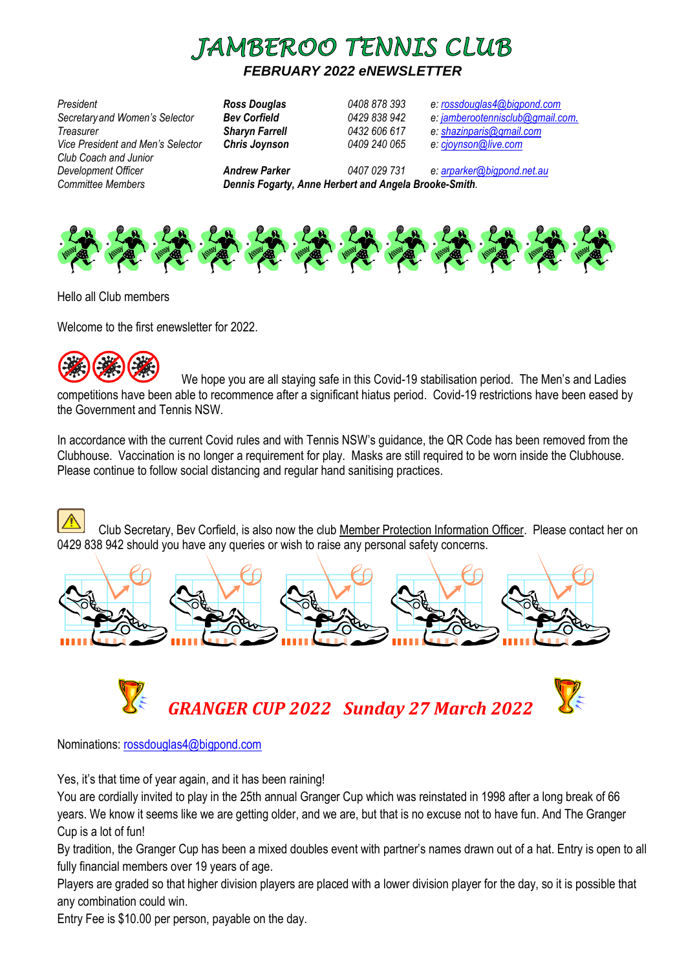

# *FEBRUARY 2022 eNEWSLETTER*

*President Ross Douglas 0408 878 393 e: [rossdouglas4@bigpond.com](mailto:rossdouglas4@bigpond.com) Secretaryand Women's Selector Bev Corfield 0429 838 942 e: [jamberootennisclub@gmail.com](mailto:jamberootennisclub@gmail.com). Treasurer Sharyn Farrell 0432 606 617 e: [shazinparis@gmail.com](mailto:shazinparis@gmail.com) Vice President and Men's Selector Chris Joynson 0409 240 065 e: [cjoynson@live.com](mailto:cjoynson@live.com) Club Coach and Junior Development Officer Andrew Parker 0407 029 731 e: [arparker@bigpond.net.au](mailto:arparker@bigpond.net.au) Committee Members Dennis Fogarty, Anne Herbert and Angela Brooke-Smith.* 



Hello all Club members

Welcome to the first *e*newsletter for 2022.



We hope you are all staying safe in this Covid-19 stabilisation period. The Men's and Ladies competitions have been able to recommence after a significant hiatus period. Covid-19 restrictions have been eased by the Government and Tennis NSW.

In accordance with the current Covid rules and with Tennis NSW's guidance, the QR Code has been removed from the Clubhouse. Vaccination is no longer a requirement for play. Masks are still required to be worn inside the Clubhouse. Please continue to follow social distancing and regular hand sanitising practices.

Club Secretary, Bev Corfield, is also now the club Member Protection Information Officer. Please contact her on 0[429](http://2014.igem.org/Team:Hong_Kong_HKUST/wetlab) 838 [94](http://2014.igem.org/Team:Hong_Kong_HKUST/wetlab)2 should you have any queries or wish to raise any personal safety concerns.





Nominations: [rossdouglas4@bigpond.com](mailto:rossdouglas4@bigpond.com)

Yes, it's that time of year again, and it has been raining!

You are cordially invited to play in the 25th annual Granger Cup which was reinstated in 1998 after a long break of 66 years. We know it seems like we are getting older, and we are, but that is no excuse not to have fun. And The Granger Cup is a lot of fun!

[By tra](https://creativecommons.org/licenses/by/3.0/)dition, the Granger Cup has been a mixed doubles event with partner's names drawn out of a hat. Entry is open to all f[ully](https://creativecommons.org/licenses/by/3.0/) financial members over 19 years of age.

Players are graded so that higher division players are placed with a lower division player for the day, so it is possible that any combination could win.

Entry Fee is \$10.00 per person, payable on the day.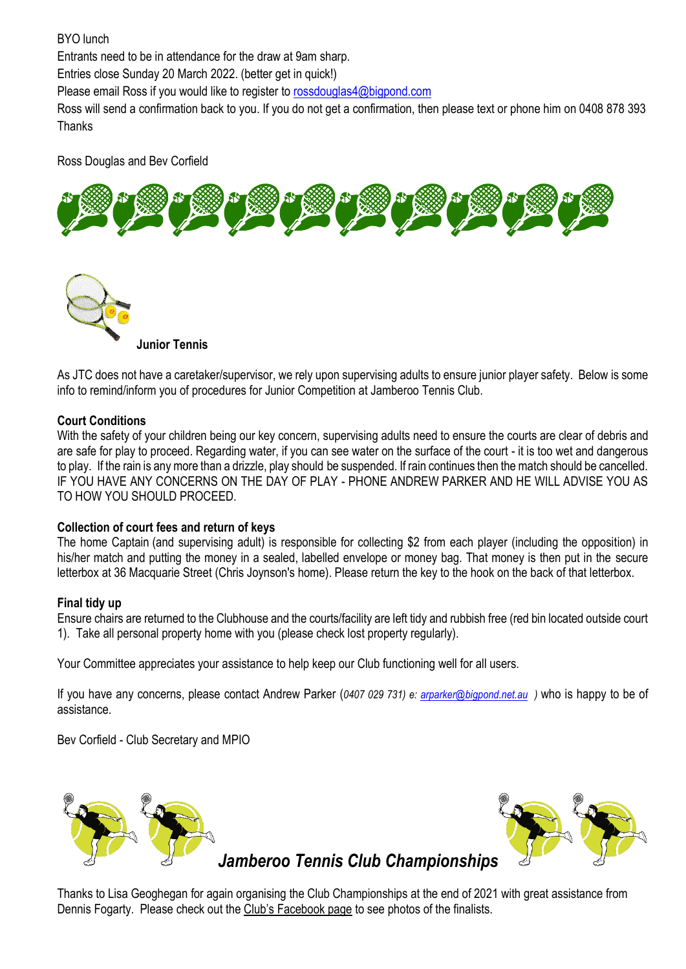## BYO lunch Entrants need to be in attendance for the draw at 9am sharp. Entries close Sunday 20 March 2022. (better get in quick!) Please email Ross if you would like to register t[o rossdouglas4@bigpond.com](mailto:rossdouglas4@bigpond.com) Ross will send a confirmation back to you. If you do not get a confirmation, then please text or phone him on 0408 878 393 Thanks

Ross Douglas and Bev Corfield





[As JTC](http://www.pngall.com/tennis-png) does not have a caretaker/supervisor, we rely upon supervising adults to ensure junior player safety. Below is some info to remind/inform you of procedures for Junior Competition at Jamberoo Tennis Club.

#### **[Court Con](https://creativecommons.org/licenses/by-nc/3.0/)ditions**

With the safety of your children being our key concern, supervising adults need to ensure the courts are clear of debris and are safe for play to proceed. Regarding water, if you can see water on the surface of the court - it is too wet and dangerous to play. If the rain is any more than a drizzle, play should be suspended. If rain continues then the match should be cancelled. IF YOU HAVE ANY CONCERNS ON THE DAY OF PLAY - PHONE ANDREW PARKER AND HE WILL ADVISE YOU AS TO HOW YOU SHOULD PROCEED.

#### **Collection of court fees and return of keys**

The home Captain (and supervising adult) is responsible for collecting \$2 from each player (including the opposition) in his/her match and putting the money in a sealed, labelled envelope or money bag. That money is then put in the secure letterbox at 36 Macquarie Street (Chris Joynson's home). Please return the key to the hook on the back of that letterbox.

#### **Final tidy up**

Ensure chairs are returned to the Clubhouse and the courts/facility are left tidy and rubbish free (red bin located outside court 1). Take all personal property home with you (please check lost property regularly).

Your Committee appreciates your assistance to help keep our Club functioning well for all users.

If you have any concerns, please contact Andrew Parker (*0407 029 731) e: [arparker@bigpond.net.au](mailto:arparker@bigpond.net.auw) )* who is happy to be of assistance.

Bev Corfield - Club Secretary and MPIO



Thanks to Lisa Geoghegan for again organising the Club Championships at the end of 2021 with great assistance from Dennis Fogarty. Please check out the Club's Facebook page to see photos of the finalists.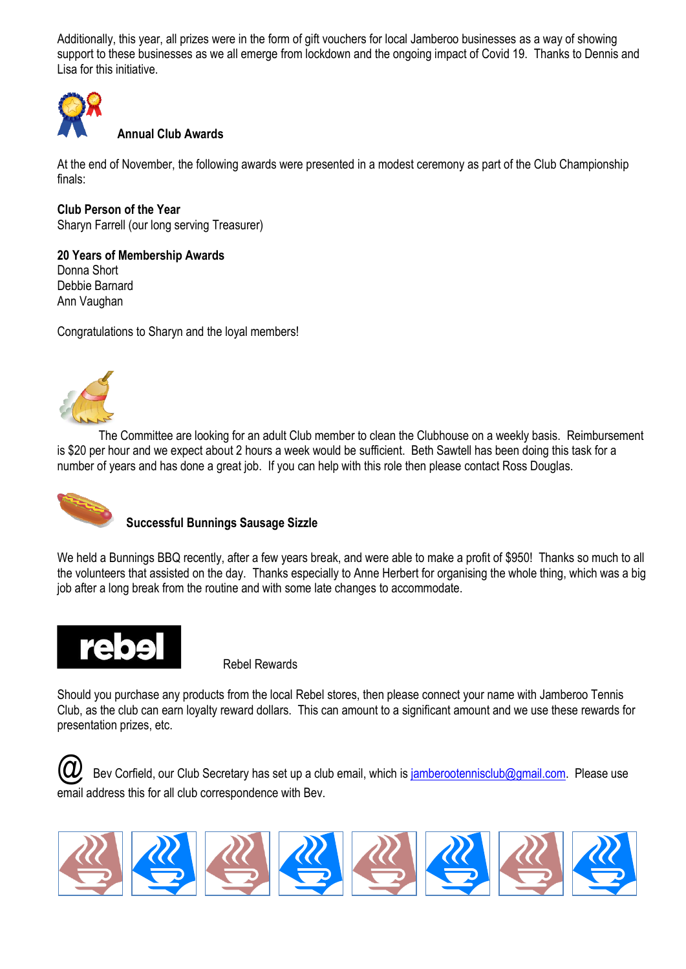Additionally, this year, all prizes were in the form of gift vouchers for local Jamberoo businesses as a way of showing support to these businesses as we all emerge from lockdown and the ongoing impact of Covid 19. Thanks to Dennis and Lisa for this initiative.



### **Annual Club Awards**

At the end of November, the following awards were presented in a modest ceremony as part of the Club Championship finals:

**Club Person of the Year** Sharyn Farrell (our long serving Treasurer)

**20 Years of Membership Awards** Donna Short Debbie Barnard

Congratulations to Sharyn and the loyal members!



Ann Vaughan

The Committee are looking for an adult Club member to clean the Clubhouse on a weekly basis. Reimbursement is \$20 per hour and we expect about 2 hours a week would be sufficient. Beth Sawtell has been doing this task for a number of years and has done a great job. If you can help with this role then please contact Ross Douglas.



#### **Successful Bunnings Sausage Sizzle**

We held a Bunnings BBQ recently, after a few years break, and were able to make a profit of \$950! Thanks so much to all the volunteers that assisted on the day. Thanks especially to Anne Herbert for organising the whole thing, which was a big job after a long break from the routine and with some late changes to accommodate.



Rebel Rewards

Should you purchase any products from the local Rebel stores, then please connect your name with Jamberoo Tennis Club, as the club can earn loyalty reward dollars. This can amount to a significant amount and we use these rewards for presentation prizes, etc.



Bev Corfield, our Club Secretary has set up a club email, which i[s jamberootennisclub@gmail.com.](mailto:jamberootennisclub@gmail.com) Please use email address this for all club correspondence with Bev.